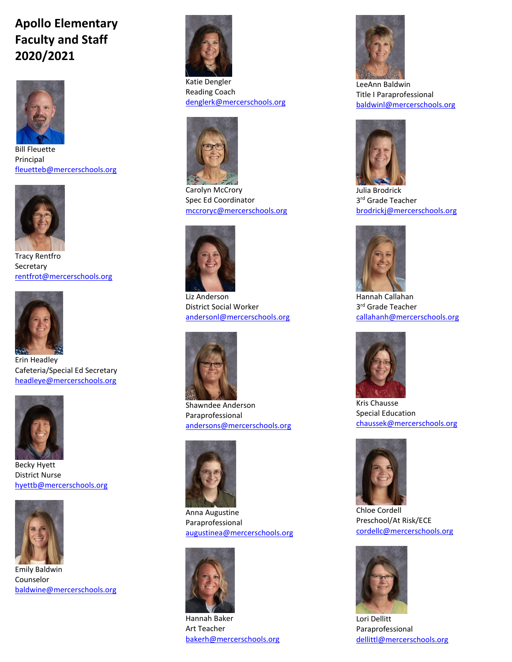## **Apollo Elementary Faculty and Staff 2020/2021**



Bill Fleuette Principal [fleuetteb@mercerschools.org](mailto:fleuetteb@mercerschools.org)



Tracy Rentfro Secretary [rentfrot@mercerschools.org](mailto:rentfrot@mercerschools.org)



Erin Headley Cafeteria/Special Ed Secretary [headleye@mercerschools.org](mailto:headleye@mercerschools.org)



Becky Hyett District Nurse [hyettb@mercerschools.org](mailto:hyettb@mercerschools.org)



Emily Baldwin Counselor [baldwine@mercerschools.org](mailto:baldwine@mercerschools.org)



Katie Dengler Reading Coach [denglerk@mercerschools.org](mailto:denglerk@mercerschools.org)



Carolyn McCrory Spec Ed Coordinator [mccroryc@mercerschools.org](mailto:mccroryc@mercerschools.org)



Liz Anderson District Social Worker [andersonl@mercerschools.org](mailto:andersonl@mercerschools.org)



Shawndee Anderson Paraprofessional [andersons@mercerschools.org](mailto:andersons@mercerschools.org)



Anna Augustine Paraprofessional [augustinea@mercerschools.org](mailto:augustinea@mercerschools.org)



Hannah Baker Art Teacher [bakerh@mercerschools.org](mailto:bakerh@mercerschools.org)



LeeAnn Baldwin Title I Paraprofessional [baldwinl@mercerschools.org](mailto:baldwinl@mercerschools.org)



Julia Brodrick 3<sup>rd</sup> Grade Teacher [brodrickj@mercerschools.org](mailto:brodrickj@mercerschools.org)



Hannah Callahan 3<sup>rd</sup> Grade Teacher [callahanh@mercerschools.org](mailto:callahanh@mercerschools.org)



Kris Chausse Special Education [chaussek@mercerschools.org](mailto:chaussek@mercerschools.org)



Chloe Cordell Preschool/At Risk/ECE [cordellc@mercerschools.org](mailto:cordellc@mercerschools.org)



Lori Dellitt Paraprofessional [dellittl@mercerschools.org](mailto:dellittl@mercerschools.org)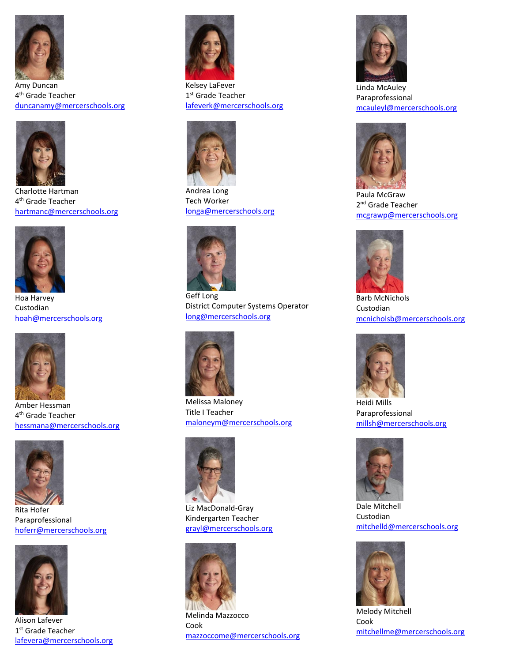

Amy Duncan 4<sup>th</sup> Grade Teacher [duncanamy@mercerschools.org](mailto:duncanamy@mercerschools.org)



Charlotte Hartman 4<sup>th</sup> Grade Teacher [hartmanc@mercerschools.org](mailto:hartmanc@mercerschools.org)



Hoa Harvey Custodian [hoah@mercerschools.org](mailto:hoah@mercerschools.org)



Amber Hessman 4<sup>th</sup> Grade Teacher [hessmana@mercerschools.org](mailto:hessmana@mercerschools.org)



Rita Hofer Paraprofessional [hoferr@mercerschools.org](mailto:hoferr@mercerschools.org)



Alison Lafever 1st Grade Teacher [lafevera@mercerschools.org](mailto:lafevera@mercerschools.org)



Kelsey LaFever 1st Grade Teacher [lafeverk@mercerschools.org](mailto:lafeverk@mercerschools.org)



Andrea Long Tech Worker [longa@mercerschools.org](mailto:longa@mercerschools.org)



Geff Long District Computer Systems Operator [long@mercerschools.org](mailto:long@mercerschools.org)



Melissa Maloney Title I Teacher [maloneym@mercerschools.org](mailto:maloneym@mercerschools.org)



Liz MacDonald-Gray Kindergarten Teacher [grayl@mercerschools.org](mailto:grayl@mercerschools.org)



Melinda Mazzocco Cook [mazzoccome@mercerschools.org](mailto:mazzoccome@mercerschools.org)



Linda McAuley Paraprofessional [mcauleyl@mercerschools.org](mailto:mcauleyl@mercerschools.org)



Paula McGraw 2<sup>nd</sup> Grade Teacher [mcgrawp@mercerschools.org](mailto:mcgrawp@mercerschools.org)



Barb McNichols Custodian [mcnicholsb@mercerschools.org](mailto:mcnicholsb@mercerschools.org)



Heidi Mills Paraprofessional [millsh@mercerschools.org](mailto:millsh@mercerschools.org)



Dale Mitchell Custodian [mitchelld@mercerschools.org](mailto:mitchelld@mercerschools.org)



Melody Mitchell Cook [mitchellme@mercerschools.org](mailto:mitchellme@mercerschools.org)